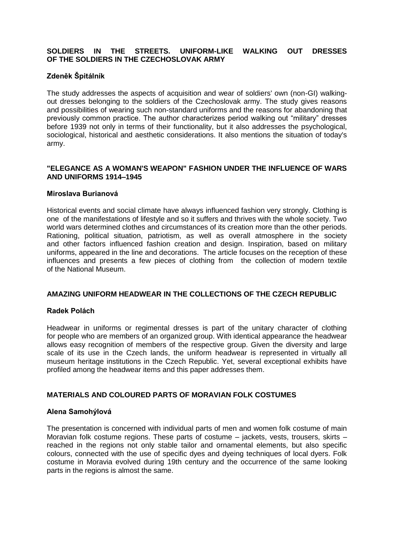# **SOLDIERS IN THE STREETS. UNIFORM-LIKE WALKING OUT DRESSES OF THE SOLDIERS IN THE CZECHOSLOVAK ARMY**

# **Zdeněk Špitálník**

The study addresses the aspects of acquisition and wear of soldiers' own (non-GI) walkingout dresses belonging to the soldiers of the Czechoslovak army. The study gives reasons and possibilities of wearing such non-standard uniforms and the reasons for abandoning that previously common practice. The author characterizes period walking out "military" dresses before 1939 not only in terms of their functionality, but it also addresses the psychological, sociological, historical and aesthetic considerations. It also mentions the situation of today's army.

# **"ELEGANCE AS A WOMAN'S WEAPON" FASHION UNDER THE INFLUENCE OF WARS AND UNIFORMS 1914–1945**

### **Miroslava Burianová**

Historical events and social climate have always influenced fashion very strongly. Clothing is one of the manifestations of lifestyle and so it suffers and thrives with the whole society. Two world wars determined clothes and circumstances of its creation more than the other periods. Rationing, political situation, patriotism, as well as overall atmosphere in the society and other factors influenced fashion creation and design. Inspiration, based on military uniforms, appeared in the line and decorations. The article focuses on the reception of these influences and presents a few pieces of clothing from the collection of modern textile of the National Museum.

# **AMAZING UNIFORM HEADWEAR IN THE COLLECTIONS OF THE CZECH REPUBLIC**

#### **Radek Polách**

Headwear in uniforms or regimental dresses is part of the unitary character of clothing for people who are members of an organized group. With identical appearance the headwear allows easy recognition of members of the respective group. Given the diversity and large scale of its use in the Czech lands, the uniform headwear is represented in virtually all museum heritage institutions in the Czech Republic. Yet, several exceptional exhibits have profiled among the headwear items and this paper addresses them.

# **MATERIALS AND COLOURED PARTS OF MORAVIAN FOLK COSTUMES**

#### **Alena Samohýlová**

The presentation is concerned with individual parts of men and women folk costume of main Moravian folk costume regions. These parts of costume – jackets, vests, trousers, skirts – reached in the regions not only stable tailor and ornamental elements, but also specific colours, connected with the use of specific dyes and dyeing techniques of local dyers. Folk costume in Moravia evolved during 19th century and the occurrence of the same looking parts in the regions is almost the same.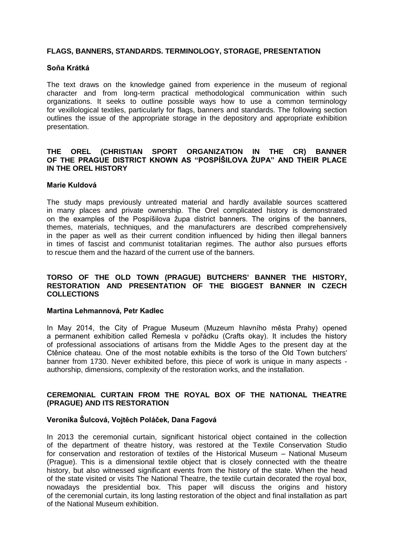### **FLAGS, BANNERS, STANDARDS. TERMINOLOGY, STORAGE, PRESENTATION**

#### **Soňa Krátká**

The text draws on the knowledge gained from experience in the museum of regional character and from long-term practical methodological communication within such organizations. It seeks to outline possible ways how to use a common terminology for vexillological textiles, particularly for flags, banners and standards. The following section outlines the issue of the appropriate storage in the depository and appropriate exhibition presentation.

### **THE OREL (CHRISTIAN SPORT ORGANIZATION IN THE CR) BANNER OF THE PRAGUE DISTRICT KNOWN AS "POSPÍŠILOVA ŽUPA" AND THEIR PLACE IN THE OREL HISTORY**

### **Marie Kuldová**

The study maps previously untreated material and hardly available sources scattered in many places and private ownership. The Orel complicated history is demonstrated on the examples of the Pospíšilova župa district banners. The origins of the banners, themes, materials, techniques, and the manufacturers are described comprehensively in the paper as well as their current condition influenced by hiding then illegal banners in times of fascist and communist totalitarian regimes. The author also pursues efforts to rescue them and the hazard of the current use of the banners.

### **TORSO OF THE OLD TOWN (PRAGUE) BUTCHERS' BANNER THE HISTORY, RESTORATION AND PRESENTATION OF THE BIGGEST BANNER IN CZECH COLLECTIONS**

#### **Martina Lehmannová, Petr Kadlec**

In May 2014, the City of Prague Museum (Muzeum hlavního města Prahy) opened a permanent exhibition called Řemesla v pořádku (Crafts okay). It includes the history of professional associations of artisans from the Middle Ages to the present day at the Ctěnice chateau. One of the most notable exhibits is the torso of the Old Town butchers' banner from 1730. Never exhibited before, this piece of work is unique in many aspects authorship, dimensions, complexity of the restoration works, and the installation.

# **CEREMONIAL CURTAIN FROM THE ROYAL BOX OF THE NATIONAL THEATRE (PRAGUE) AND ITS RESTORATION**

### **Veronika Šulcová, Vojtěch Poláček, Dana Fagová**

In 2013 the ceremonial curtain, significant historical object contained in the collection of the department of theatre history, was restored at the Textile Conservation Studio for conservation and restoration of textiles of the Historical Museum – National Museum (Prague). This is a dimensional textile object that is closely connected with the theatre history, but also witnessed significant events from the history of the state. When the head of the state visited or visits The National Theatre, the textile curtain decorated the royal box, nowadays the presidential box. This paper will discuss the origins and history of the ceremonial curtain, its long lasting restoration of the object and final installation as part of the National Museum exhibition.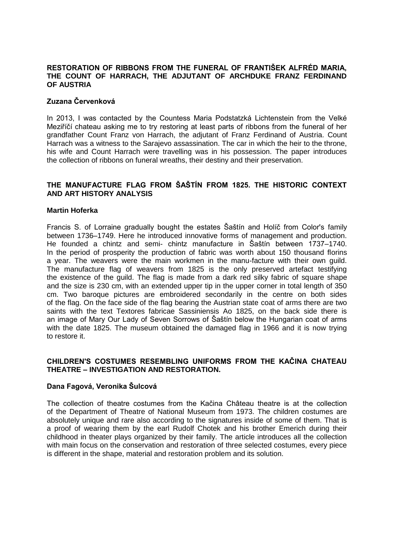### **RESTORATION OF RIBBONS FROM THE FUNERAL OF FRANTIŠEK ALFRÉD MARIA, THE COUNT OF HARRACH, THE ADJUTANT OF ARCHDUKE FRANZ FERDINAND OF AUSTRIA**

# **Zuzana Červenková**

In 2013, I was contacted by the Countess Maria Podstatzká Lichtenstein from the Velké Meziříčí chateau asking me to try restoring at least parts of ribbons from the funeral of her grandfather Count Franz von Harrach, the adjutant of Franz Ferdinand of Austria. Count Harrach was a witness to the Sarajevo assassination. The car in which the heir to the throne, his wife and Count Harrach were travelling was in his possession. The paper introduces the collection of ribbons on funeral wreaths, their destiny and their preservation.

# **THE MANUFACTURE FLAG FROM ŠAŠTÍN FROM 1825. THE HISTORIC CONTEXT AND ART HISTORY ANALYSIS**

### **Martin Hoferka**

Francis S. of Lorraine gradually bought the estates Šaštín and Holíč from Color's family between 1736–1749. Here he introduced innovative forms of management and production. He founded a chintz and semi- chintz manufacture in Šaštín between 1737–1740. In the period of prosperity the production of fabric was worth about 150 thousand florins a year. The weavers were the main workmen in the manu-facture with their own guild. The manufacture flag of weavers from 1825 is the only preserved artefact testifying the existence of the guild. The flag is made from a dark red silky fabric of square shape and the size is 230 cm, with an extended upper tip in the upper corner in total length of 350 cm. Two baroque pictures are embroidered secondarily in the centre on both sides of the flag. On the face side of the flag bearing the Austrian state coat of arms there are two saints with the text Textores fabricae Sassiniensis Ao 1825, on the back side there is an image of Mary Our Lady of Seven Sorrows of Šaštín below the Hungarian coat of arms with the date 1825. The museum obtained the damaged flag in 1966 and it is now trying to restore it.

## **CHILDREN'S COSTUMES RESEMBLING UNIFORMS FROM THE KAČINA CHATEAU THEATRE – INVESTIGATION AND RESTORATION.**

# **Dana Fagová, Veronika Šulcová**

The collection of theatre costumes from the Kačina Château theatre is at the collection of the Department of Theatre of National Museum from 1973. The children costumes are absolutely unique and rare also according to the signatures inside of some of them. That is a proof of wearing them by the earl Rudolf Chotek and his brother Emerich during their childhood in theater plays organized by their family. The article introduces all the collection with main focus on the conservation and restoration of three selected costumes, every piece is different in the shape, material and restoration problem and its solution.